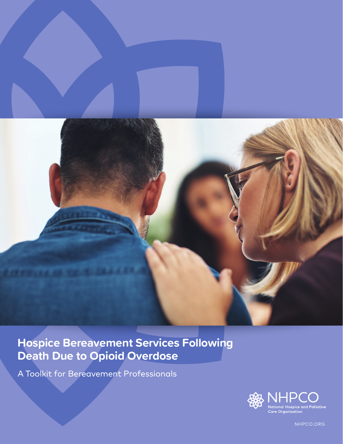

# **Hospice Bereavement Services Following Death Due to Opioid Overdose**

A Toolkit for Bereavement Professionals



NHPCO.ORG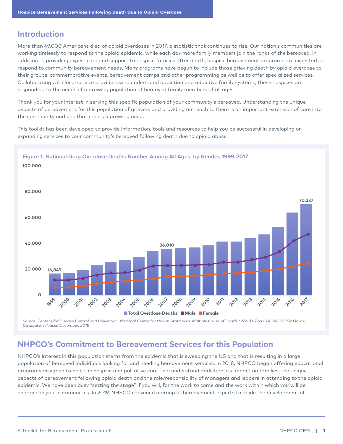### **Introduction**

More than 49,000 Americans died of opioid overdoses in 2017, a statistic that continues to rise. Our nation's communities are working tirelessly to respond to the opioid epidemic, while each day more family members join the ranks of the bereaved. In addition to providing expert care and support to hospice families after death, hospice bereavement programs are expected to respond to community bereavement needs. Many programs have begun to include those grieving death by opioid overdose to their groups, commemorative events, bereavement camps and other programming as well as to offer specialized services. Collaborating with local service providers who understand addiction and addictive family systems, these hospices are responding to the needs of a growing population of bereaved family members of all ages.

Thank you for your interest in serving this specific population of your community's bereaved. Understanding the unique aspects of bereavement for this population of grievers and providing outreach to them is an important extension of care into the community and one that meets a growing need.

This toolkit has been developed to provide information, tools and resources to help you be successful in developing or expanding services to your community's bereaved following death due to opioid abuse.



*Source: Centers for Disease Control and Prevention, National Center for Health Statisticcs. Multiple Cause of Death 1999-2017 on CDC WONDER Online Database, released December, 2018*

# **NHPCO's Commitment to Bereavement Services for this Population**

NHPCO's interest in this population stems from the epidemic that is sweeping the US and that is resulting in a large population of bereaved individuals looking for and needing bereavement services. In 2018, NHPCO began offering educational programs designed to help the hospice and palliative care field understand addiction, its impact on families, the unique aspects of bereavement following opioid death and the role/responsibility of managers and leaders in attending to the opioid epidemic. We have been busy "setting the stage" if you will, for the work to come and the work within which you will be engaged in your communities. In 2019, NHPCO convened a group of bereavement experts to guide the development of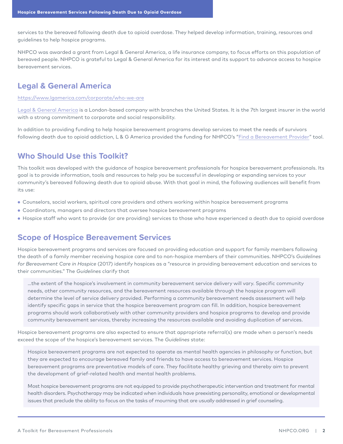services to the bereaved following death due to opioid overdose. They helped develop information, training, resources and guidelines to help hospice programs.

NHPCO was awarded a grant from Legal & General America, a life insurance company, to focus efforts on this population of bereaved people. NHPCO is grateful to Legal & General America for its interest and its support to advance access to hospice bereavement services.

# **Legal & General America**

https://www.lgamerica.com/corporate/who-we-are

Legal & General America is a London-based company with branches the United States. It is the 7th largest insurer in the world with a strong commitment to corporate and social responsibility.

In addition to providing funding to help hospice bereavement programs develop services to meet the needs of survivors following death due to opioid addiction, L & G America provided the funding for NHPCO's "Find a Bereavement Provider" tool.

# **Who Should Use this Toolkit?**

This toolkit was developed with the guidance of hospice bereavement professionals for hospice bereavement professionals. Its goal is to provide information, tools and resources to help you be successful in developing or expanding services to your community's bereaved following death due to opioid abuse. With that goal in mind, the following audiences will benefit from its use:

- Counselors, social workers, spiritual care providers and others working within hospice bereavement programs
- Coordinators, managers and directors that oversee hospice bereavement programs
- Hospice staff who want to provide (or are providing) services to those who have experienced a death due to opioid overdose

# **Scope of Hospice Bereavement Services**

Hospice bereavement programs and services are focused on providing education and support for family members following the death of a family member receiving hospice care and to non-hospice members of their communities. NHPCO's *Guidelines for Bereavement Care in Hospice* (2017) identify hospices as a "resource in providing bereavement education and services to their communities." The *Guidelines* clarify that

…the extent of the hospice's involvement in community bereavement service delivery will vary. Specific community needs, other community resources, and the bereavement resources available through the hospice program will determine the level of service delivery provided. Performing a community bereavement needs assessment will help identify specific gaps in service that the hospice bereavement program can fill. In addition, hospice bereavement programs should work collaboratively with other community providers and hospice programs to develop and provide community bereavement services, thereby increasing the resources available and avoiding duplication of services.

Hospice bereavement programs are also expected to ensure that appropriate referral(s) are made when a person's needs exceed the scope of the hospice's bereavement services. The *Guidelines* state:

Hospice bereavement programs are not expected to operate as mental health agencies in philosophy or function, but they are expected to encourage bereaved family and friends to have access to bereavement services. Hospice bereavement programs are preventative models of care. They facilitate healthy grieving and thereby aim to prevent the development of grief-related health and mental health problems.

Most hospice bereavement programs are not equipped to provide psychotherapeutic intervention and treatment for mental health disorders. Psychotherapy may be indicated when individuals have preexisting personality, emotional or developmental issues that preclude the ability to focus on the tasks of mourning that are usually addressed in grief counseling.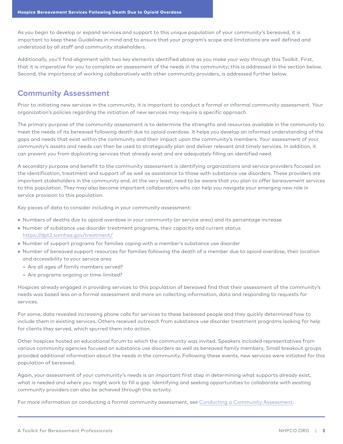As you begin to develop or expand services and support to this unique population of your community's bereaved, it is important to keep these *Guidelines* in mind and to ensure that your program's scope and limitations are well defined and understood by all staff and community stakeholders.

Additionally, you'll find alignment with two key elements identified above as you make your way through this Toolkit. First, that it is imperative for you to complete an assessment of the needs in the community; this is addressed in the section below. Second, the importance of working collaboratively with other community providers, is addressed further below.

# **Community Assessment**

Prior to initiating new services in the community, it is important to conduct a formal or informal community assessment. Your organization's policies regarding the initiation of new services may require a specific approach.

The primary purpose of the community assessment is to determine the strengths and resources available in the community to meet the needs of its bereaved following death due to opioid overdose. It helps you develop an informed understanding of the gaps and needs that exist within the community and their impact upon the community's members. Your assessment of your community's assets and needs can then be used to strategically plan and deliver relevant and timely services. In addition, it can prevent you from duplicating services that already exist and are adequately filling an identified need.

A secondary purpose and benefit to the community assessment is identifying organizations and service providers focused on the identification, treatment and support of as well as assistance to those with substance use disorders. These providers are important stakeholders in the community and, at the very least, need to be aware that you plan to offer bereavement services to this population. They may also become important collaborators who can help you navigate your emerging new role in service provision to this population.

Key pieces of data to consider including in your community assessment:

- Numbers of deaths due to opioid overdose in your community (or service area) and its percentage increase
- Number of substance use disorder treatment programs, their capacity and current status https://dpt2.samhsa.gov/treatment/
- Number of support programs for families coping with a member's substance use disorder
- Number of bereaved support resources for families following the death of a member due to opioid overdose, their location and accessibility to your service area
	- − Are all ages of family members served?
	- − Are programs ongoing or time-limited?

Hospices already engaged in providing services to this population of bereaved find that their assessment of the community's needs was based less on a formal assessment and more on collecting information, data and responding to requests for services.

For some, data revealed increasing phone calls for services to these bereaved people and they quickly determined how to include them in existing services. Others received outreach from substance use disorder treatment programs looking for help for clients they served, which spurred them into action.

Other hospices hosted an educational forum to which the community was invited. Speakers included representatives from various community agencies focused on substance use disorders as well as bereaved family members. Small breakout groups provided additional information about the needs in the community. Following these events, new services were initiated for this population of bereaved.

Again, your assessment of your community's needs is an important first step in determining what supports already exist, what is needed and where you might work to fill a gap. Identifying and seeking opportunities to collaborate with existing community providers can also be achieved through this activity.

For more information on conducting a formal community assessment, see Conducting a Community Assessment.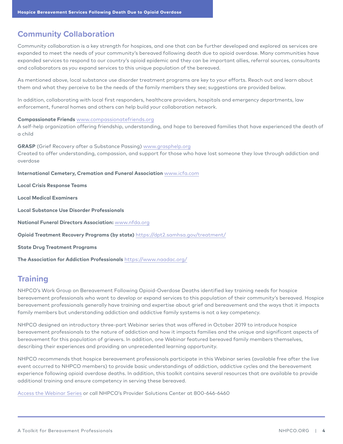# **Community Collaboration**

Community collaboration is a key strength for hospices, and one that can be further developed and explored as services are expanded to meet the needs of your community's bereaved following death due to opioid overdose. Many communities have expanded services to respond to our country's opioid epidemic and they can be important allies, referral sources, consultants and collaborators as you expand services to this unique population of the bereaved.

As mentioned above, local substance use disorder treatment programs are key to your efforts. Reach out and learn about them and what they perceive to be the needs of the family members they see; suggestions are provided below.

In addition, collaborating with local first responders, healthcare providers, hospitals and emergency departments, law enforcement, funeral homes and others can help build your collaboration network.

### **Compassionate Friends** www.compassionatefriends.org

A self-help organization offering friendship, understanding, and hope to bereaved families that have experienced the death of a child

**GRASP** (Grief Recovery after a Substance Passing) www.grasphelp.org Created to offer understanding, compassion, and support for those who have lost someone they love through addiction and overdose

**International Cemetery, Cremation and Funeral Association** www.icfa.com

**Local Crisis Response Teams**

**Local Medical Examiners**

**Local Substance Use Disorder Professionals**

**National Funeral Directors Association:** www.nfda.org

**Opioid Treatment Recovery Programs (by state)** https://dpt2.samhsa.gov/treatment/

**State Drug Treatment Programs**

**The Association for Addiction Professionals** https://www.naadac.org/

# **Training**

NHPCO's Work Group on Bereavement Following Opioid-Overdose Deaths identified key training needs for hospice bereavement professionals who want to develop or expand services to this population of their community's bereaved. Hospice bereavement professionals generally have training and expertise about grief and bereavement and the ways that it impacts family members but understanding addiction and addictive family systems is not a key competency.

NHPCO designed an introductory three-part Webinar series that was offered in October 2019 to introduce hospice bereavement professionals to the nature of addiction and how it impacts families and the unique and significant aspects of bereavement for this population of grievers. In addition, one Webinar featured bereaved family members themselves, describing their experiences and providing an unprecedented learning opportunity.

NHPCO recommends that hospice bereavement professionals participate in this Webinar series (available free after the live event occurred to NHPCO members) to provide basic understandings of addiction, addictive cycles and the bereavement experience following opioid overdose deaths. In addition, this toolkit contains several resources that are available to provide additional training and ensure competency in serving these bereaved.

Access the Webinar Series or call NHPCO's Provider Solutions Center at 800-646-6460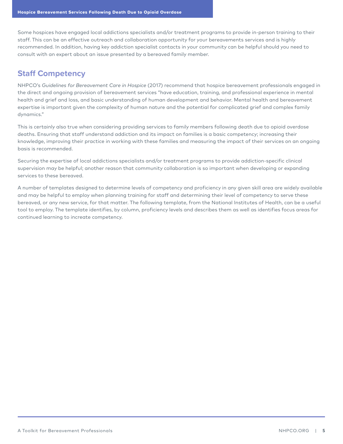Some hospices have engaged local addictions specialists and/or treatment programs to provide in-person training to their staff. This can be an effective outreach and collaboration opportunity for your bereavements services and is highly recommended. In addition, having key addiction specialist contacts in your community can be helpful should you need to consult with an expert about an issue presented by a bereaved family member.

# **Staff Competency**

NHPCO's *Guidelines for Bereavement Care in Hospice* (2017) recommend that hospice bereavement professionals engaged in the direct and ongoing provision of bereavement services "have education, training, and professional experience in mental health and grief and loss, and basic understanding of human development and behavior. Mental health and bereavement expertise is important given the complexity of human nature and the potential for complicated grief and complex family dynamics."

This is certainly also true when considering providing services to family members following death due to opioid overdose deaths. Ensuring that staff understand addiction and its impact on families is a basic competency; increasing their knowledge, improving their practice in working with these families and measuring the impact of their services on an ongoing basis is recommended.

Securing the expertise of local addictions specialists and/or treatment programs to provide addiction-specific clinical supervision may be helpful; another reason that community collaboration is so important when developing or expanding services to these bereaved.

A number of templates designed to determine levels of competency and proficiency in any given skill area are widely available and may be helpful to employ when planning training for staff and determining their level of competency to serve these bereaved, or any new service, for that matter. The following template, from the National Institutes of Health, can be a useful tool to employ. The template identifies, by column, proficiency levels and describes them as well as identifies focus areas for continued learning to increate competency.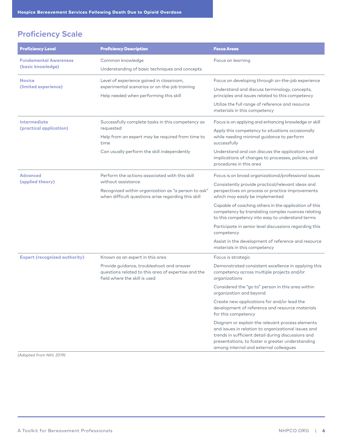# **Proficiency Scale**

| <b>Proficiency Level</b>                          | <b>Proficiency Description</b>                                                                                                      | <b>Focus Areas</b>                                                                                                                                                                                                                                          |
|---------------------------------------------------|-------------------------------------------------------------------------------------------------------------------------------------|-------------------------------------------------------------------------------------------------------------------------------------------------------------------------------------------------------------------------------------------------------------|
| <b>Fundamental Awareness</b><br>(basic knowledge) | Common knowledge<br>Understanding of basic techniques and concepts                                                                  | Focus on learning                                                                                                                                                                                                                                           |
| <b>Novice</b><br>(limited experience)             | Level of experience gained in classroom,<br>experimental scenarios or on-the-job training<br>Help needed when performing this skill | Focus on developing through on-the-job experience<br>Understand and discuss terminology, concepts,<br>principles and issues related to this competency<br>Utilize the full range of reference and resource<br>materials in this competency                  |
| <b>Intermediate</b><br>(practical application)    | Successfully complete tasks in this competency as<br>requested<br>Help from an expert may be required from time to<br>time          | Focus is on applying and enhancing knowledge or skill<br>Apply this competency to situations occasionally<br>while needing minimal guidance to perform<br>successfully                                                                                      |
|                                                   | Can usually perform the skill independently                                                                                         | Understand and can discuss the application and<br>implications of changes to processes, policies, and<br>procedures in this area                                                                                                                            |
| <b>Advanced</b><br>(applied theory)               | Perform the actions associated with this skill<br>without assistance                                                                | Focus is on broad organizational/professional issues                                                                                                                                                                                                        |
|                                                   | Recognized within organization as "a person to ask"<br>when difficult questions arise regarding this skill                          | Consistently provide practical/relevant ideas and<br>perspectives on process or practice improvements<br>which may easily be implemented                                                                                                                    |
|                                                   |                                                                                                                                     | Capable of coaching others in the application of this<br>competency by translating complex nuances relating<br>to this competency into easy to understand terms                                                                                             |
|                                                   |                                                                                                                                     | Participate in senior level discussions regarding this<br>competency                                                                                                                                                                                        |
|                                                   |                                                                                                                                     | Assist in the development of reference and resource<br>materials in this competency                                                                                                                                                                         |
| <b>Expert (recognized authority)</b>              | Known as an expert in this area                                                                                                     | Focus is strategic                                                                                                                                                                                                                                          |
|                                                   | Provide guidance, troubleshoot and answer<br>questions related to this area of expertise and the<br>field where the skill is used   | Demonstrated consistent excellence in applying this<br>competency across multiple projects and/or<br>organizations                                                                                                                                          |
|                                                   |                                                                                                                                     | Considered the "go to" person in this area within<br>organization and beyond                                                                                                                                                                                |
|                                                   |                                                                                                                                     | Create new applications for and/or lead the<br>development of reference and resource materials<br>for this competency                                                                                                                                       |
|                                                   |                                                                                                                                     | Diagram or explain the relevant process elements<br>and issues in relation to organizational issues and<br>trends in sufficient detail during discussions and<br>presentations, to foster a greater understanding<br>among internal and external colleagues |

*(Adapted from NIH, 2019)*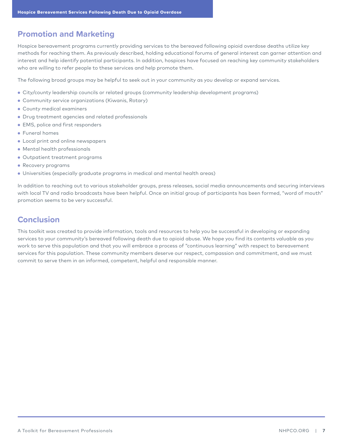# **Promotion and Marketing**

Hospice bereavement programs currently providing services to the bereaved following opioid overdose deaths utilize key methods for reaching them. As previously described, holding educational forums of general interest can garner attention and interest and help identify potential participants. In addition, hospices have focused on reaching key community stakeholders who are willing to refer people to these services and help promote them.

The following broad groups may be helpful to seek out in your community as you develop or expand services.

- City/county leadership councils or related groups (community leadership development programs)
- Community service organizations (Kiwanis, Rotary)
- County medical examiners
- Drug treatment agencies and related professionals
- EMS, police and first responders
- Funeral homes
- Local print and online newspapers
- Mental health professionals
- Outpatient treatment programs
- Recovery programs
- Universities (especially graduate programs in medical and mental health areas)

In addition to reaching out to various stakeholder groups, press releases, social media announcements and securing interviews with local TV and radio broadcasts have been helpful. Once an initial group of participants has been formed, "word of mouth" promotion seems to be very successful.

# **Conclusion**

This toolkit was created to provide information, tools and resources to help you be successful in developing or expanding services to your community's bereaved following death due to opioid abuse. We hope you find its contents valuable as you work to serve this population and that you will embrace a process of "continuous learning" with respect to bereavement services for this population. These community members deserve our respect, compassion and commitment, and we must commit to serve them in an informed, competent, helpful and responsible manner.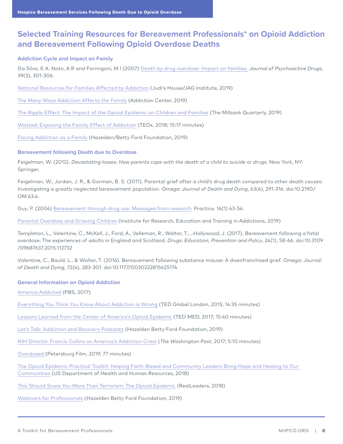# **Selected Training Resources for Bereavement Professionals\* on Opioid Addiction and Bereavement Following Opioid Overdose Deaths**

### **Addiction Cycle and Impact on Family**

Da Silva, E A. Noto, A R and Formigoni, M l (2007) Death by drug overdose: Impact on families. *Journal of Psychoactive Drugs*, 39(3), 301-306.

National Resources for Families Affected by Addiction (Judi's House/JAG Institute, 2019)

The Many Ways Addiction Affects the Family (Addiction Center, 2019)

The Ripple Effect: The Impact of the Opioid Epidemic on Children and Families (The Milbank Quarterly, 2019)

Wasted: Exposing the Family Effect of Addiction (TEDx, 2018; 15:17 minutes)

Facing Addiction as a Family (Hazelden/Betty Ford Foundation, 2019)

### **Bereavement following Death due to Overdose**

Feigelman, W. (2012). *Devastating losses: How parents cope with the death of a child to suicide or drugs*. New York, NY: Springer.

Feigelman, W., Jordan, J. R., & Gorman, B. S. (2011). Parental grief after a child's drug death compared to other death causes: Investigating a greatly neglected bereavement population. *Omega: Journal of Death and Dying*, 63(4), 291-316. doi:10.2190/ OM.63.4.

Guy, P. (2004) Bereavement through drug use: Messages from research. Practice. 16(1) 43-54.

Parental Overdose and Grieving Children (Institute for Research, Education and Training in Addictions, 2019)

Templeton, L., Valentine, C., McKell, J., Ford, A., Velleman, R., Walter, T., …Hollywood, J. (2017). Bereavement following a fatal overdose: The experiences of adults in England and Scotland. *Drugs: Education, Prevention and Policy*, 24(1), 58-66. doi:10.3109 /09687637.2015.112732

Valentine, C., Bauld, L., & Walter, T. (2016). Bereavement following substance misuse: A disenfranchised grief. *Omega: Journal of Death and Dying*, 72(4), 283-301. doi:10.1177/0030222815625174

### **General Information on Opioid Addiction**

America Addicted (PBS, 2017)

Everything You Think You Know About Addiction is Wrong (TED Global London, 2015; 14:35 minutes)

Lessons Learned from the Center of America's Opioid Epidemic (TED MED, 2017; 15:40 minutes)

Let's Talk: Addiction and Recovery Podcasts (Hazelden Betty Ford Foundation, 2019)

NIH Director Francis Collins on America's Addiction Crisis (*The Washington Post*, 2017; 5:10 minutes)

Overdosed (Petersburg Film, 2019; 77 minutes)

The Opioid Epidemic Practical Toolkit: Helping Faith-Based and Community Leaders Bring Hope and Healing to Our Communities (US Department of Health and Human Resources, 2018)

This Should Scare You More Than Terrorism: The Opioid Epidemic (RealLeaders, 2018)

Webinars for Professionals (Hazelden Betty Ford Foundation, 2019)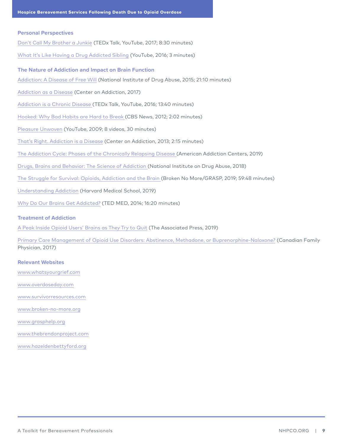### **Personal Perspectives**

Don't Call My Brother a Junkie (TEDx Talk, YouTube, 2017; 8:30 minutes)

What It's Like Having a Drug Addicted Sibling (YouTube, 2016; 3 minutes)

# **The Nature of Addiction and Impact on Brain Function**  Addiction: A Disease of Free Will (National Institute of Drug Abuse, 2015; 21:10 minutes) Addiction as a Disease (Center on Addiction, 2017) Addiction is a Chronic Disease (TEDx Talk, YouTube, 2016; 13:40 minutes) Hooked: Why Bad Habits are Hard to Break (CBS News, 2012; 2:02 minutes) Pleasure Unwoven (YouTube, 2009; 8 videos, 30 minutes)

That's Right. Addiction is a Disease (Center on Addiction, 2013; 2:15 minutes)

The Addiction Cycle: Phases of the Chronically Relapsing Disease (American Addiction Centers, 2019)

Drugs, Brains and Behavior: The Science of Addiction (National Institute on Drug Abuse, 2018)

The Struggle for Survival: Opioids, Addiction and the Brain (Broken No More/GRASP, 2019; 59:48 minutes)

Understanding Addiction (Harvard Medical School, 2019)

Why Do Our Brains Get Addicted? (TED MED, 2014; 16:20 minutes)

### **Treatment of Addiction**

A Peak Inside Opioid Users' Brains as They Try to Quit (The Associated Press, 2019)

Primary Care Management of Opioid Use Disorders: Abstinence, Methadone, or Buprenorphine-Naloxone? (Canadian Family Physician, 2017)

### **Relevant Websites**

www.whatsyourgrief.com

www.overdoseday.com

www.survivorresources.com

www.broken-no-more.org

www.grasphelp.org

www.thebrendonproject.com

www.hazeldenbettyford.org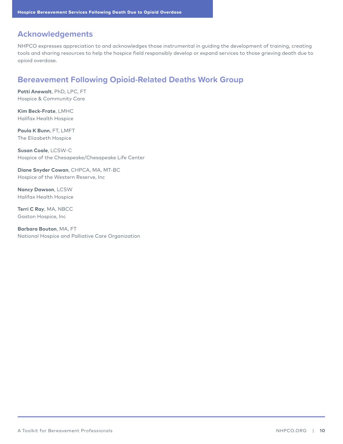# **Acknowledgements**

NHPCO expresses appreciation to and acknowledges those instrumental in guiding the development of training, creating tools and sharing resources to help the hospice field responsibly develop or expand services to those grieving death due to opioid overdose.

# **Bereavement Following Opioid-Related Deaths Work Group**

**Patti Anewalt**, PhD, LPC, FT Hospice & Community Care

**Kim Beck-Frate**, LMHC Halifax Health Hospice

**Paula K Bunn**, FT, LMFT The Elizabeth Hospice

**Susan Coale**, LCSW-C Hospice of the Chesapeake/Chesapeake Life Center

**Diane Snyder Cowan**, CHPCA, MA, MT-BC Hospice of the Western Reserve, Inc

**Nancy Dawson**, LCSW Halifax Health Hospice

**Terri C Ray**, MA, NBCC Gaston Hospice, Inc

**Barbara Bouton**, MA, FT National Hospice and Palliative Care Organization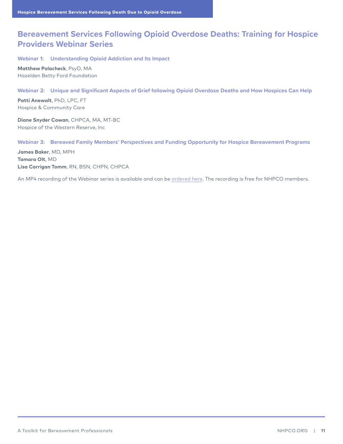# **Bereavement Services Following Opioid Overdose Deaths: Training for Hospice Providers Webinar Series**

**Webinar 1: Understanding Opioid Addiction and Its Impact**

**Matthew Polacheck**, PsyD, MA Hazelden Betty Ford Foundation

### **Webinar 2: Unique and Significant Aspects of Grief following Opioid Overdose Deaths and How Hospices Can Help**

**Patti Anewalt**, PhD, LPC, FT Hospice & Community Care

**Diane Snyder Cowan**, CHPCA, MA, MT-BC Hospice of the Western Reserve, Inc

### **Webinar 3: Bereaved Family Members' Perspectives and Funding Opportunity for Hospice Bereavement Programs**

**James Baker**, MD, MPH **Tamara Olt**, MD **Lisa Carrigan Tomm**, RN, BSN, CHPN, CHPCA

An MP4 recording of the Webinar series is available and can be ordered here. The recording is free for NHPCO members.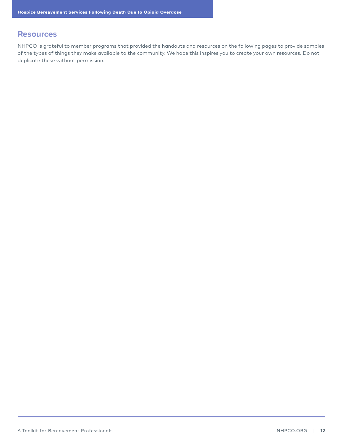### **Resources**

NHPCO is grateful to member programs that provided the handouts and resources on the following pages to provide samples of the types of things they make available to the community. We hope this inspires you to create your own resources. Do not duplicate these without permission.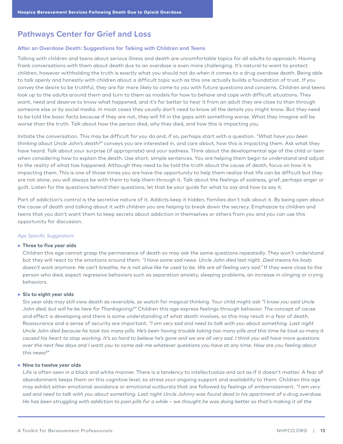# **Pathways Center for Grief and Loss**

#### **After an Overdose Death: Suggestions for Talking with Children and Teens**

Talking with children and teens about serious illness and death are uncomfortable topics for all adults to approach. Having frank conversations with them about death due to an overdose is even more challenging. It's natural to want to protect children, however withholding the truth is exactly what you should not do when it comes to a drug overdose death. Being able to talk openly and honestly with children about a difficult topic such as this one actually builds a foundation of trust. If you convey the desire to be truthful, they are far more likely to come to you with future questions and concerns. Children and teens look up to the adults around them and turn to them as models for how to behave and cope with difficult situations. They want, need and deserve to know what happened, and it's far better to hear it from an adult they are close to than through someone else or by social media. In most cases they usually don't need to know all the details you might know. But they need to be told the basic facts because if they are not, they will fill in the gaps with something worse. What they imagine will be worse than the truth. Talk about how the person died, why they died, and how this is impacting you.

Initiate the conversation. This may be difficult for you do and, if so, perhaps start with a question. *"What have you been thinking about Uncle John's death?"* conveys you are interested in, and care about, how this is impacting them. Ask what they have heard. Talk about your surprise (if appropriate) and your sadness. Think about the developmental age of the child or teen when considering how to explain the death. Use short, simple sentences. You are helping them begin to understand and adjust to the reality of what has happened. Although they need to be told the truth about the cause of death, focus on how it is impacting them. This is one of those times you are have the opportunity to help them realize that life can be difficult but they are not alone, you will always be with them to help them through it. Talk about the feelings of sadness, grief, perhaps anger or guilt. Listen for the questions behind their questions; let that be your guide for what to say and how to say it.

Part of addiction's control is the secretive nature of it. Addicts keep it hidden, families don't talk about it. By being open about the cause of death and talking about it with children you are helping to break down the secrecy. Emphasize to children and teens that you don't want them to keep secrets about addiction in themselves or others from you and you can use this opportunity for discussion.

#### *Age Specific Suggestions*

#### • **Three to five year olds**

Children this age cannot grasp the permanence of death so may ask the same questions repeatedly. They won't understand but they will react to the emotions around them. *"I have some sad news. Uncle John died last night. Died means his body doesn't work anymore. He can't breathe, he is not alive like he used to be. We are all feeling very sad."* If they were close to the person who died, expect regressive behaviors such as separation anxiety, sleeping problems, an increase in clinging or crying behaviors.

### • **Six to eight year olds**

Six year olds may still view death as reversible, so watch for magical thinking. Your child might ask *"I know you said Uncle John died, but will he be here for Thanksgiving?"* Children this age express feelings through behavior. The concept of cause and effect is developing and there is some understanding of what death involves, so this may result in a fear of death. Reassurance and a sense of security are important. *"I am very sad and need to talk with you about something. Last night Uncle John died because he took too many pills. He's been having trouble taking too many pills and this time he took so many it caused his heart to stop working. It's so hard to believe he's gone and we are all very sad. I think you will have more questions over the next few days and I want you to come ask me whatever questions you have at any time. How are you feeling about this news?"*

### • **Nine to twelve year olds**

Life is often seen in a black and white manner. There is a tendency to intellectualize and act as if it doesn't matter. A fear of abandonment keeps them on this cognitive level, so stress your ongoing support and availability to them. Children this age may exhibit either emotional avoidance or emotional outbursts that are followed by feelings of embarrassment. *"I am very*  sad and need to talk with you about something. Last night Uncle Johnny was found dead in his apartment of a drug overdose. *He has been struggling with addiction to pain pills for a while – we thought he was doing better so that's making it all the*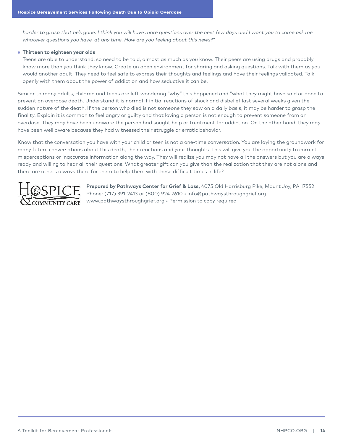*harder to grasp that he's gone. I think you will have more questions over the next few days and I want you to come ask me whatever questions you have, at any time. How are you feeling about this news?"*

### • **Thirteen to eighteen year olds**

Teens are able to understand, so need to be told, almost as much as you know. Their peers are using drugs and probably know more than you think they know. Create an open environment for sharing and asking questions. Talk with them as you would another adult. They need to feel safe to express their thoughts and feelings and have their feelings validated. Talk openly with them about the power of addiction and how seductive it can be.

Similar to many adults, children and teens are left wondering "why" this happened and "what they might have said or done to prevent an overdose death. Understand it is normal if initial reactions of shock and disbelief last several weeks given the sudden nature of the death. If the person who died is not someone they saw on a daily basis, it may be harder to grasp the finality. Explain it is common to feel angry or guilty and that loving a person is not enough to prevent someone from an overdose. They may have been unaware the person had sought help or treatment for addiction. On the other hand, they may have been well aware because they had witnessed their struggle or erratic behavior.

Know that the conversation you have with your child or teen is not a one-time conversation. You are laying the groundwork for many future conversations about this death, their reactions and your thoughts. This will give you the opportunity to correct misperceptions or inaccurate information along the way. They will realize you may not have all the answers but you are always ready and willing to hear all their questions. What greater gift can you give than the realization that they are not alone and there are others always there for them to help them with these difficult times in life?



**Prepared by Pathways Center for Grief & Loss,** 4075 Old Harrisburg Pike, Mount Joy, PA 17552 Phone: (717) 391-2413 or (800) 924-7610 • info@pathwaysthroughgrief.org www.pathwaysthroughgrief.org • Permission to copy required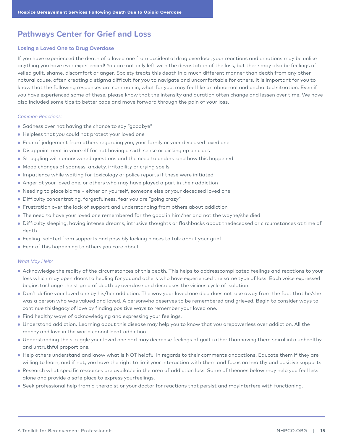# **Pathways Center for Grief and Loss**

#### **Losing a Loved One to Drug Overdose**

If you have experienced the death of a loved one from accidental drug overdose, your reactions and emotions may be unlike anything you have ever experienced! You are not only left with the devastation of the loss, but there may also be feelings of veiled guilt, shame, discomfort or anger. Society treats this death in a much different manner than death from any other natural cause, often creating a stigma difficult for you to navigate and uncomfortable for others. It is important for you to know that the following responses are common in, what for you, may feel like an abnormal and uncharted situation. Even if you have experienced some of these, please know that the intensity and duration often change and lessen over time. We have also included some tips to better cope and move forward through the pain of your loss.

### *Common Reactions:*

- Sadness over not having the chance to say "goodbye"
- Helpless that you could not protect your loved one
- Fear of judgement from others regarding you, your family or your deceased loved one
- Disappointment in yourself for not having a sixth sense or picking up on clues
- Struggling with unanswered questions and the need to understand how this happened
- Mood changes of sadness, anxiety, irritability or crying spells
- Impatience while waiting for toxicology or police reports if these were initiated
- Anger at your loved one, or others who may have played a part in their addiction
- Needing to place blame ~ either on yourself, someone else or your deceased loved one
- Difficulty concentrating, forgetfulness, fear you are "going crazy"
- Frustration over the lack of support and understanding from others about addiction
- The need to have your loved one remembered for the good in him/her and not the wayhe/she died
- Difficulty sleeping, having intense dreams, intrusive thoughts or flashbacks about thedeceased or circumstances at time of death
- Feeling isolated from supports and possibly lacking places to talk about your grief
- Fear of this happening to others you care about

#### *What May Help:*

- Acknowledge the reality of the circumstances of this death. This helps to addresscomplicated feelings and reactions to your loss which may open doors to healing for youand others who have experienced the same type of loss. Each voice expressed begins tochange the stigma of death by overdose and decreases the vicious cycle of isolation.
- Don't define your loved one by his/her addiction. The way your loved one died does nottake away from the fact that he/she was a person who was valued and loved. A personwho deserves to be remembered and grieved. Begin to consider ways to continue thislegacy of love by finding positive ways to remember your loved one.
- Find healthy ways of acknowledging and expressing your feelings.
- Understand addiction. Learning about this disease may help you to know that you arepowerless over addiction. All the money and love in the world cannot beat addiction.
- Understanding the struggle your loved one had may decrease feelings of guilt rather thanhaving them spiral into unhealthy and untruthful proportions.
- Help others understand and know what is NOT helpful in regards to their comments andactions. Educate them if they are willing to learn, and if not, you have the right to limityour interaction with them and focus on healthy and positive supports.
- Research what specific resources are available in the area of addiction loss. Some of theones below may help you feel less alone and provide a safe place to express yourfeelings.
- Seek professional help from a therapist or your doctor for reactions that persist and mayinterfere with functioning.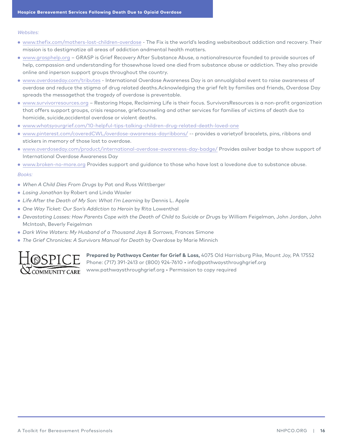*Websites:*

- www.thefix.com/mothers-lost-children-overdose The Fix is the world's leading websiteabout addiction and recovery. Their mission is to destigmatize all areas of addiction andmental health matters.
- www.grasphelp.org GRASP is Grief Recovery After Substance Abuse, a nationalresource founded to provide sources of help, compassion and understanding for thosewhose loved one died from substance abuse or addiction. They also provide online and inperson support groups throughout the country.
- www.overdoseday.com/tributes International Overdose Awareness Day is an annualglobal event to raise awareness of overdose and reduce the stigma of drug related deaths.Acknowledging the grief felt by families and friends, Overdose Day spreads the messagethat the tragedy of overdose is preventable.
- www.survivorresources.org Restoring Hope, Reclaiming Life is their focus. SurvivorsResources is a non-profit organization that offers support groups, crisis response, griefcounseling and other services for families of victims of death due to homicide, suicide,accidental overdose or violent deaths.
- www.whatsyourgrief.com/10-helpful-tips-talking-children-drug-related-death-loved-one
- www.pinterest.com/coveredCWL/overdose-awareness-dayribbons/ -- provides a varietyof bracelets, pins, ribbons and stickers in memory of those lost to overdose.
- www.overdoseday.com/product/international-overdose-awareness-day-badge/ Provides asilver badge to show support of International Overdose Awareness Day
- www.broken-no-more.org Provides support and guidance to those who have lost a lovedone due to substance abuse.

#### *Books:*

- *When A Child Dies From Drugs* by Pat and Russ Wittberger
- *Losing Jonathan* by Robert and Linda Waxler
- *Life After the Death of My Son: What I'm Learning* by Dennis L. Apple
- *One Way Ticket: Our Son's Addiction to Heroin* by Rita Lowenthal
- *Devastating Losses: How Parents Cope with the Death of Child to Suicide or Drug*s by William Feigelman, John Jordan, John McIntosh, Beverly Feigelman
- *Dark Wine Waters: My Husband of a Thousand Joys & Sorrows*, Frances Simone
- *The Grief Chronicles: A Survivors Manual for Death* by Overdose by Marie Minnich



**Prepared by Pathways Center for Grief & Loss,** 4075 Old Harrisburg Pike, Mount Joy, PA 17552 Phone: (717) 391-2413 or (800) 924-7610 • info@pathwaysthroughgrief.org www.pathwaysthroughgrief.org • Permission to copy required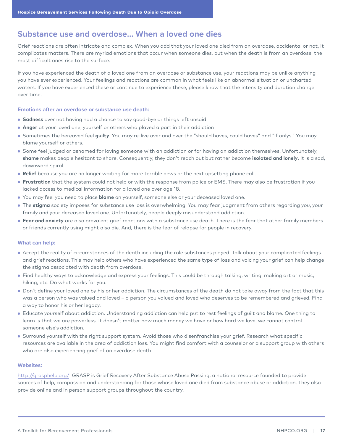### **Substance use and overdose… When a loved one dies**

Grief reactions are often intricate and complex. When you add that your loved one died from an overdose, accidental or not, it complicates matters. There are myriad emotions that occur when someone dies, but when the death is from an overdose, the most difficult ones rise to the surface.

If you have experienced the death of a loved one from an overdose or substance use, your reactions may be unlike anything you have ever experienced. Your feelings and reactions are common in what feels like an abnormal situation or uncharted waters. If you have experienced these or continue to experience these, please know that the intensity and duration change over time.

#### **Emotions after an overdose or substance use death:**

- **Sadness** over not having had a chance to say good-bye or things left unsaid
- **Anger** at your loved one, yourself or others who played a part in their addiction
- Sometimes the bereaved feel **guilty**. You may re-live over and over the "should haves, could haves" and "if onlys." You may blame yourself or others.
- Some feel judged or ashamed for loving someone with an addiction or for having an addiction themselves. Unfortunately, **shame** makes people hesitant to share. Consequently, they don't reach out but rather become **isolated and lonely**. It is a sad, downward spiral.
- **Relief** because you are no longer waiting for more terrible news or the next upsetting phone call.
- **Frustration** that the system could not help or with the response from police or EMS. There may also be frustration if you lacked access to medical information for a loved one over age 18.
- You may feel you need to place **blame** on yourself, someone else or your deceased loved one.
- The **stigma** society imposes for substance use loss is overwhelming. You may fear judgment from others regarding you, your family and your deceased loved one. Unfortunately, people deeply misunderstand addiction.
- **Fear and anxiety** are also prevalent grief reactions with a substance use death. There is the fear that other family members or friends currently using might also die. And, there is the fear of relapse for people in recovery.

### **What can help:**

- Accept the reality of circumstances of the death including the role substances played. Talk about your complicated feelings and grief reactions. This may help others who have experienced the same type of loss and voicing your grief can help change the stigma associated with death from overdose.
- Find healthy ways to acknowledge and express your feelings. This could be through talking, writing, making art or music, hiking, etc. Do what works for you.
- Don't define your loved one by his or her addiction. The circumstances of the death do not take away from the fact that this was a person who was valued and loved – a person you valued and loved who deserves to be remembered and grieved. Find a way to honor his or her legacy.
- Educate yourself about addiction. Understanding addiction can help put to rest feelings of guilt and blame. One thing to learn is that we are powerless. It doesn't matter how much money we have or how hard we love, we cannot control someone else's addiction.
- Surround yourself with the right support system. Avoid those who disenfranchise your grief. Research what specific resources are available in the area of addiction loss. You might find comfort with a counselor or a support group with others who are also experiencing grief of an overdose death.

### **Websites:**

http://grasphelp.org/ GRASP is Grief Recovery After Substance Abuse Passing, a national resource founded to provide sources of help, compassion and understanding for those whose loved one died from substance abuse or addiction. They also provide online and in person support groups throughout the country.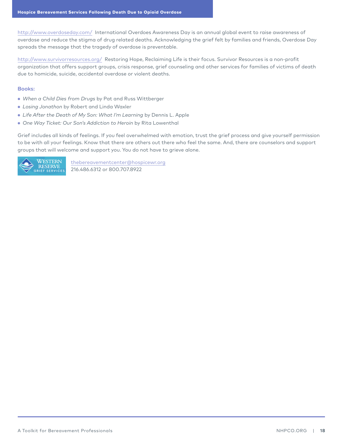http://www.overdoseday.com/ International Overdoes Awareness Day is an annual global event to raise awareness of overdose and reduce the stigma of drug related deaths. Acknowledging the grief felt by families and friends, Overdose Day spreads the message that the tragedy of overdose is preventable.

http://www.survivorresources.org/ Restoring Hope, Reclaiming Life is their focus. Survivor Resources is a non-profit organization that offers support groups, crisis response, grief counseling and other services for families of victims of death due to homicide, suicide, accidental overdose or violent deaths.

### **Books:**

- *When a Child Dies from Drugs* by Pat and Russ Wittberger
- *Losing Jonathon* by Robert and Linda Waxler
- *Life After the Death of My Son: What I'm Learning* by Dennis L. Apple
- *One Way Ticket: Our Son's Addiction to Heroin* by Rita Lowenthal

Grief includes all kinds of feelings. If you feel overwhelmed with emotion, trust the grief process and give yourself permission to be with all your feelings. Know that there are others out there who feel the same. And, there are counselors and support groups that will welcome and support you. You do not have to grieve alone.



thebereavementcenter@hospicewr.org 216.486.6312 or 800.707.8922